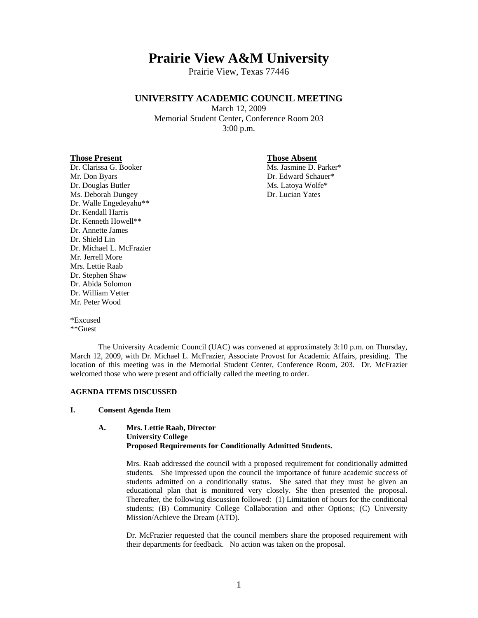# **Prairie View A&M University**

Prairie View, Texas 77446

# **UNIVERSITY ACADEMIC COUNCIL MEETING**

March 12, 2009 Memorial Student Center, Conference Room 203 3:00 p.m.

#### **Those Present Those Absent**

Mr. Don Byars Dr. Edward Schauer\* Dr. Douglas Butler Ms. Latoya Wolfe\* Ms. Deborah Dungey Dr. Lucian Yates Dr. Walle Engedeyahu\*\* Dr. Kendall Harris Dr. Kenneth Howell\*\* Dr. Annette James Dr. Shield Lin Dr. Michael L. McFrazier Mr. Jerrell More Mrs. Lettie Raab Dr. Stephen Shaw Dr. Abida Solomon Dr. William Vetter Mr. Peter Wood

Dr. Clarissa G. Booker Ms. Jasmine D. Parker\*

\*Excused \*\*Guest

 The University Academic Council (UAC) was convened at approximately 3:10 p.m. on Thursday, March 12, 2009, with Dr. Michael L. McFrazier, Associate Provost for Academic Affairs, presiding. The location of this meeting was in the Memorial Student Center, Conference Room, 203. Dr. McFrazier welcomed those who were present and officially called the meeting to order.

#### **AGENDA ITEMS DISCUSSED**

#### **I. Consent Agenda Item**

#### **A. Mrs. Lettie Raab, Director University College Proposed Requirements for Conditionally Admitted Students.**

Mrs. Raab addressed the council with a proposed requirement for conditionally admitted students. She impressed upon the council the importance of future academic success of students admitted on a conditionally status. She sated that they must be given an educational plan that is monitored very closely. She then presented the proposal. Thereafter, the following discussion followed: (1) Limitation of hours for the conditional students; (B) Community College Collaboration and other Options; (C) University Mission/Achieve the Dream (ATD).

 Dr. McFrazier requested that the council members share the proposed requirement with their departments for feedback. No action was taken on the proposal.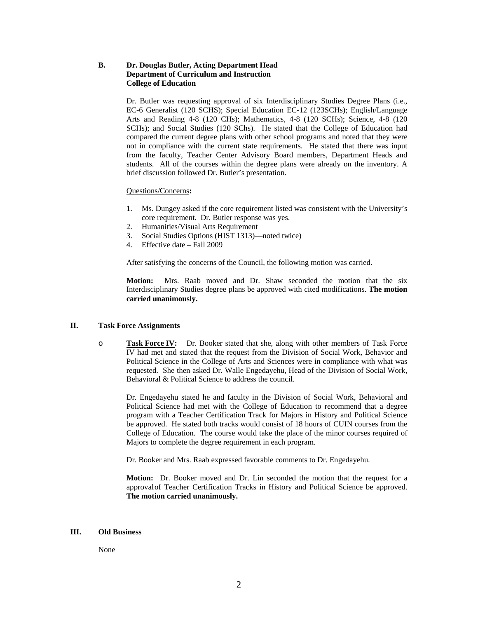### **B. Dr. Douglas Butler, Acting Department Head Department of Curriculum and Instruction College of Education**

Dr. Butler was requesting approval of six Interdisciplinary Studies Degree Plans (i.e., EC-6 Generalist (120 SCHS); Special Education EC-12 (123SCHs); English/Language Arts and Reading 4-8 (120 CHs); Mathematics, 4-8 (120 SCHs); Science, 4-8 (120 SCHs); and Social Studies (120 SChs). He stated that the College of Education had compared the current degree plans with other school programs and noted that they were not in compliance with the current state requirements. He stated that there was input from the faculty, Teacher Center Advisory Board members, Department Heads and students. All of the courses within the degree plans were already on the inventory. A brief discussion followed Dr. Butler's presentation.

#### Questions/Concerns**:**

- 1. Ms. Dungey asked if the core requirement listed was consistent with the University's core requirement. Dr. Butler response was yes.
- 2. Humanities/Visual Arts Requirement
- 3. Social Studies Options (HIST 1313)—noted twice)
- 4. Effective date Fall 2009

After satisfying the concerns of the Council, the following motion was carried.

 **Motion:** Mrs. Raab moved and Dr. Shaw seconded the motion that the six Interdisciplinary Studies degree plans be approved with cited modifications. **The motion carried unanimously.** 

#### **II. Task Force Assignments**

o **Task Force IV:** Dr. Booker stated that she, along with other members of Task Force IV had met and stated that the request from the Division of Social Work, Behavior and Political Science in the College of Arts and Sciences were in compliance with what was requested. She then asked Dr. Walle Engedayehu, Head of the Division of Social Work, Behavioral & Political Science to address the council.

 Dr. Engedayehu stated he and faculty in the Division of Social Work, Behavioral and Political Science had met with the College of Education to recommend that a degree program with a Teacher Certification Track for Majors in History and Political Science be approved. He stated both tracks would consist of 18 hours of CUIN courses from the College of Education. The course would take the place of the minor courses required of Majors to complete the degree requirement in each program.

Dr. Booker and Mrs. Raab expressed favorable comments to Dr. Engedayehu.

**Motion:** Dr. Booker moved and Dr. Lin seconded the motion that the request for a approval of Teacher Certification Tracks in History and Political Science be approved. **The motion carried unanimously.**

#### **III. Old Business**

None